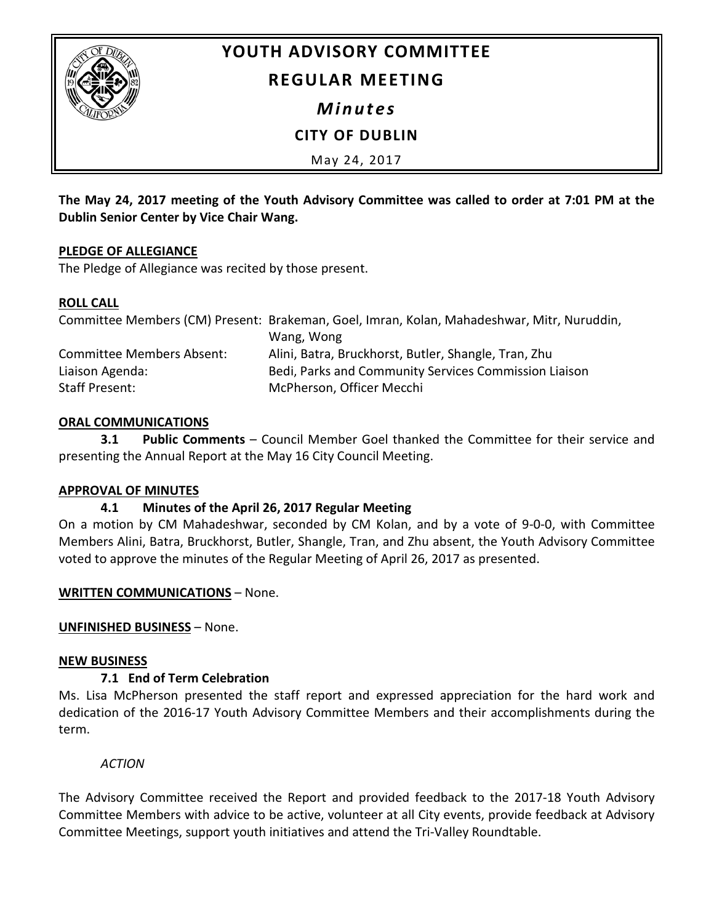

# **YOUTH ADVISORY COMMITTEE**

# **REGULAR MEETING**

*Minutes*

**CITY OF DUBLIN**

May 24, 2017

**The May 24, 2017 meeting of the Youth Advisory Committee was called to order at 7:01 PM at the Dublin Senior Center by Vice Chair Wang.**

# **PLEDGE OF ALLEGIANCE**

The Pledge of Allegiance was recited by those present.

#### **ROLL CALL**

|                                  | Committee Members (CM) Present: Brakeman, Goel, Imran, Kolan, Mahadeshwar, Mitr, Nuruddin, |
|----------------------------------|--------------------------------------------------------------------------------------------|
|                                  | Wang, Wong                                                                                 |
| <b>Committee Members Absent:</b> | Alini, Batra, Bruckhorst, Butler, Shangle, Tran, Zhu                                       |
| Liaison Agenda:                  | Bedi, Parks and Community Services Commission Liaison                                      |
| Staff Present:                   | McPherson, Officer Mecchi                                                                  |

# **ORAL COMMUNICATIONS**

**3.1 Public Comments** – Council Member Goel thanked the Committee for their service and presenting the Annual Report at the May 16 City Council Meeting.

# **APPROVAL OF MINUTES**

# **4.1 Minutes of the April 26, 2017 Regular Meeting**

On a motion by CM Mahadeshwar, seconded by CM Kolan, and by a vote of 9-0-0, with Committee Members Alini, Batra, Bruckhorst, Butler, Shangle, Tran, and Zhu absent, the Youth Advisory Committee voted to approve the minutes of the Regular Meeting of April 26, 2017 as presented.

# **WRITTEN COMMUNICATIONS** – None.

**UNFINISHED BUSINESS** – None.

#### **NEW BUSINESS**

# **7.1 End of Term Celebration**

Ms. Lisa McPherson presented the staff report and expressed appreciation for the hard work and dedication of the 2016-17 Youth Advisory Committee Members and their accomplishments during the term.

*ACTION*

The Advisory Committee received the Report and provided feedback to the 2017-18 Youth Advisory Committee Members with advice to be active, volunteer at all City events, provide feedback at Advisory Committee Meetings, support youth initiatives and attend the Tri-Valley Roundtable.